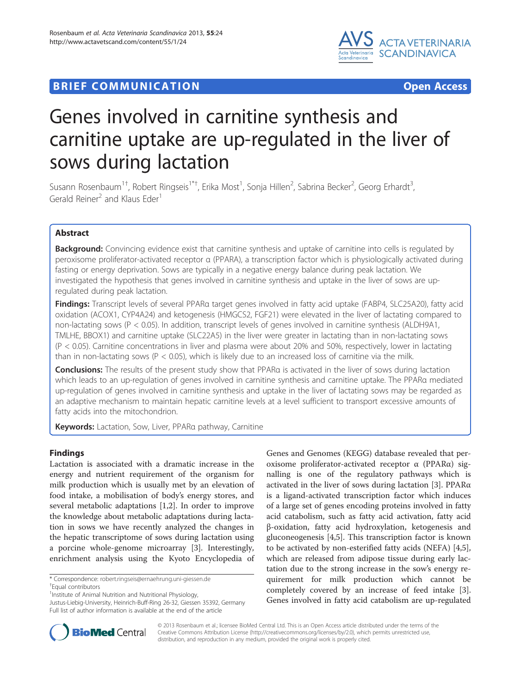



# Genes involved in carnitine synthesis and carnitine uptake are up-regulated in the liver of sows during lactation

Susann Rosenbaum<sup>1†</sup>, Robert Ringseis<sup>1\*†</sup>, Erika Most<sup>1</sup>, Sonja Hillen<sup>2</sup>, Sabrina Becker<sup>2</sup>, Georg Erhardt<sup>3</sup> , Gerald Reiner<sup>2</sup> and Klaus Eder<sup>1</sup>

## Abstract

Background: Convincing evidence exist that carnitine synthesis and uptake of carnitine into cells is regulated by peroxisome proliferator-activated receptor α (PPARA), a transcription factor which is physiologically activated during fasting or energy deprivation. Sows are typically in a negative energy balance during peak lactation. We investigated the hypothesis that genes involved in carnitine synthesis and uptake in the liver of sows are upregulated during peak lactation.

Findings: Transcript levels of several PPARa target genes involved in fatty acid uptake (FABP4, SLC25A20), fatty acid oxidation (ACOX1, CYP4A24) and ketogenesis (HMGCS2, FGF21) were elevated in the liver of lactating compared to non-lactating sows (P < 0.05). In addition, transcript levels of genes involved in carnitine synthesis (ALDH9A1, TMLHE, BBOX1) and carnitine uptake (SLC22A5) in the liver were greater in lactating than in non-lactating sows (P < 0.05). Carnitine concentrations in liver and plasma were about 20% and 50%, respectively, lower in lactating than in non-lactating sows ( $P < 0.05$ ), which is likely due to an increased loss of carnitine via the milk.

Conclusions: The results of the present study show that PPARa is activated in the liver of sows during lactation which leads to an up-regulation of genes involved in carnitine synthesis and carnitine uptake. The PPARα mediated up-regulation of genes involved in carnitine synthesis and uptake in the liver of lactating sows may be regarded as an adaptive mechanism to maintain hepatic carnitine levels at a level sufficient to transport excessive amounts of fatty acids into the mitochondrion.

Keywords: Lactation, Sow, Liver, PPARa pathway, Carnitine

## Findings

Lactation is associated with a dramatic increase in the energy and nutrient requirement of the organism for milk production which is usually met by an elevation of food intake, a mobilisation of body's energy stores, and several metabolic adaptations [[1](#page-4-0),[2\]](#page-4-0). In order to improve the knowledge about metabolic adaptations during lactation in sows we have recently analyzed the changes in the hepatic transcriptome of sows during lactation using a porcine whole-genome microarray [[3\]](#page-4-0). Interestingly, enrichment analysis using the Kyoto Encyclopedia of

\* Correspondence: [robert.ringseis@ernaehrung.uni-giessen.de](mailto:robert.ringseis@ernaehrung.uni-giessen.de) †

Equal contributors

Justus-Liebig-University, Heinrich-Buff-Ring 26-32, Giessen 35392, Germany Full list of author information is available at the end of the article

Genes and Genomes (KEGG) database revealed that peroxisome proliferator-activated receptor α (PPARα) signalling is one of the regulatory pathways which is activated in the liver of sows during lactation [\[3](#page-4-0)]. PPARα is a ligand-activated transcription factor which induces of a large set of genes encoding proteins involved in fatty acid catabolism, such as fatty acid activation, fatty acid β-oxidation, fatty acid hydroxylation, ketogenesis and gluconeogenesis [\[4,5](#page-4-0)]. This transcription factor is known to be activated by non-esterified fatty acids (NEFA) [\[4,5](#page-4-0)], which are released from adipose tissue during early lactation due to the strong increase in the sow's energy requirement for milk production which cannot be completely covered by an increase of feed intake [\[3](#page-4-0)]. Genes involved in fatty acid catabolism are up-regulated



© 2013 Rosenbaum et al.; licensee BioMed Central Ltd. This is an Open Access article distributed under the terms of the Creative Commons Attribution License (<http://creativecommons.org/licenses/by/2.0>), which permits unrestricted use, distribution, and reproduction in any medium, provided the original work is properly cited.

<sup>&</sup>lt;sup>1</sup>Institute of Animal Nutrition and Nutritional Physiology,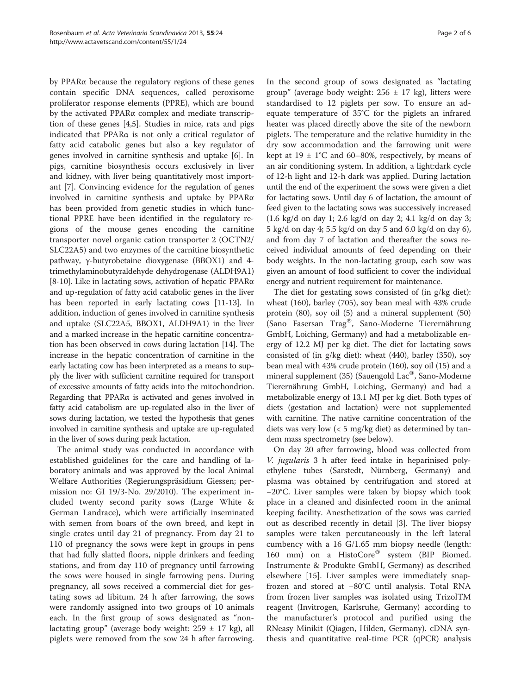by PPARα because the regulatory regions of these genes contain specific DNA sequences, called peroxisome proliferator response elements (PPRE), which are bound by the activated PPARα complex and mediate transcription of these genes [[4,5\]](#page-4-0). Studies in mice, rats and pigs indicated that PPARα is not only a critical regulator of fatty acid catabolic genes but also a key regulator of genes involved in carnitine synthesis and uptake [[6\]](#page-4-0). In pigs, carnitine biosynthesis occurs exclusively in liver and kidney, with liver being quantitatively most important [\[7](#page-4-0)]. Convincing evidence for the regulation of genes involved in carnitine synthesis and uptake by PPARα has been provided from genetic studies in which functional PPRE have been identified in the regulatory regions of the mouse genes encoding the carnitine transporter novel organic cation transporter 2 (OCTN2/ SLC22A5) and two enzymes of the carnitine biosynthetic pathway, γ-butyrobetaine dioxygenase (BBOX1) and 4 trimethylaminobutyraldehyde dehydrogenase (ALDH9A1) [[8-10\]](#page-4-0). Like in lactating sows, activation of hepatic PPAR $\alpha$ and up-regulation of fatty acid catabolic genes in the liver has been reported in early lactating cows [\[11-13\]](#page-4-0). In addition, induction of genes involved in carnitine synthesis and uptake (SLC22A5, BBOX1, ALDH9A1) in the liver and a marked increase in the hepatic carnitine concentration has been observed in cows during lactation [[14](#page-4-0)]. The increase in the hepatic concentration of carnitine in the early lactating cow has been interpreted as a means to supply the liver with sufficient carnitine required for transport of excessive amounts of fatty acids into the mitochondrion. Regarding that PPARα is activated and genes involved in fatty acid catabolism are up-regulated also in the liver of sows during lactation, we tested the hypothesis that genes involved in carnitine synthesis and uptake are up-regulated in the liver of sows during peak lactation.

The animal study was conducted in accordance with established guidelines for the care and handling of laboratory animals and was approved by the local Animal Welfare Authorities (Regierungspräsidium Giessen; permission no: GI 19/3-No. 29/2010). The experiment included twenty second parity sows (Large White & German Landrace), which were artificially inseminated with semen from boars of the own breed, and kept in single crates until day 21 of pregnancy. From day 21 to 110 of pregnancy the sows were kept in groups in pens that had fully slatted floors, nipple drinkers and feeding stations, and from day 110 of pregnancy until farrowing the sows were housed in single farrowing pens. During pregnancy, all sows received a commercial diet for gestating sows ad libitum. 24 h after farrowing, the sows were randomly assigned into two groups of 10 animals each. In the first group of sows designated as "nonlactating group" (average body weight:  $259 \pm 17$  kg), all piglets were removed from the sow 24 h after farrowing.

In the second group of sows designated as "lactating group" (average body weight:  $256 \pm 17$  kg), litters were standardised to 12 piglets per sow. To ensure an adequate temperature of 35°C for the piglets an infrared heater was placed directly above the site of the newborn piglets. The temperature and the relative humidity in the dry sow accommodation and the farrowing unit were kept at  $19 \pm 1^{\circ}$ C and 60–80%, respectively, by means of an air conditioning system. In addition, a light:dark cycle of 12-h light and 12-h dark was applied. During lactation until the end of the experiment the sows were given a diet for lactating sows. Until day 6 of lactation, the amount of feed given to the lactating sows was successively increased (1.6 kg/d on day 1; 2.6 kg/d on day 2; 4.1 kg/d on day 3; 5 kg/d on day 4; 5.5 kg/d on day 5 and 6.0 kg/d on day 6), and from day 7 of lactation and thereafter the sows received individual amounts of feed depending on their body weights. In the non-lactating group, each sow was given an amount of food sufficient to cover the individual energy and nutrient requirement for maintenance.

The diet for gestating sows consisted of (in g/kg diet): wheat (160), barley (705), soy bean meal with 43% crude protein (80), soy oil (5) and a mineral supplement (50) (Sano Fasersan Trag®, Sano-Moderne Tierernährung GmbH, Loiching, Germany) and had a metabolizable energy of 12.2 MJ per kg diet. The diet for lactating sows consisted of (in g/kg diet): wheat (440), barley (350), soy bean meal with 43% crude protein (160), soy oil (15) and a mineral supplement (35) (Sauengold Lac<sup>®</sup>, Sano-Moderne Tierernährung GmbH, Loiching, Germany) and had a metabolizable energy of 13.1 MJ per kg diet. Both types of diets (gestation and lactation) were not supplemented with carnitine. The native carnitine concentration of the diets was very low (< 5 mg/kg diet) as determined by tandem mass spectrometry (see below).

On day 20 after farrowing, blood was collected from V. jugularis 3 h after feed intake in heparinised polyethylene tubes (Sarstedt, Nürnberg, Germany) and plasma was obtained by centrifugation and stored at −20°C. Liver samples were taken by biopsy which took place in a cleaned and disinfected room in the animal keeping facility. Anesthetization of the sows was carried out as described recently in detail [[3\]](#page-4-0). The liver biopsy samples were taken percutaneously in the left lateral cumbency with a 16 G/1.65 mm biopsy needle (length: 160 mm) on a HistoCore® system (BIP Biomed. Instrumente & Produkte GmbH, Germany) as described elsewhere [[15\]](#page-4-0). Liver samples were immediately snapfrozen and stored at −80°C until analysis. Total RNA from frozen liver samples was isolated using TrizolTM reagent (Invitrogen, Karlsruhe, Germany) according to the manufacturer's protocol and purified using the RNeasy Minikit (Qiagen, Hilden, Germany). cDNA synthesis and quantitative real-time PCR (qPCR) analysis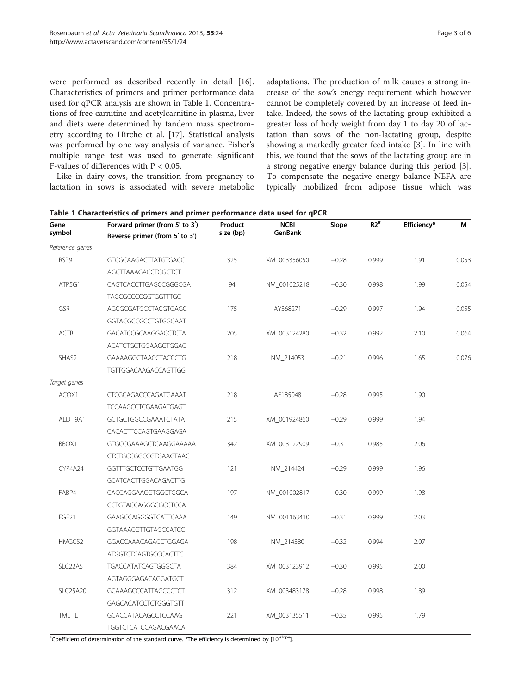were performed as described recently in detail [\[16](#page-4-0)]. Characteristics of primers and primer performance data used for qPCR analysis are shown in Table 1. Concentrations of free carnitine and acetylcarnitine in plasma, liver and diets were determined by tandem mass spectrometry according to Hirche et al. [[17\]](#page-4-0). Statistical analysis was performed by one way analysis of variance. Fisher's multiple range test was used to generate significant F-values of differences with P < 0.05.

Like in dairy cows, the transition from pregnancy to lactation in sows is associated with severe metabolic adaptations. The production of milk causes a strong increase of the sow's energy requirement which however cannot be completely covered by an increase of feed intake. Indeed, the sows of the lactating group exhibited a greater loss of body weight from day 1 to day 20 of lactation than sows of the non-lactating group, despite showing a markedly greater feed intake [[3\]](#page-4-0). In line with this, we found that the sows of the lactating group are in a strong negative energy balance during this period [\[3](#page-4-0)]. To compensate the negative energy balance NEFA are typically mobilized from adipose tissue which was

| Gene<br>symbol       | Forward primer (from 5' to 3')<br>Reverse primer (from $5'$ to $3'$ ) | Product<br>size (bp) | <b>NCBI</b><br>GenBank | Slope   | $R2^*$ | Efficiency* | М     |
|----------------------|-----------------------------------------------------------------------|----------------------|------------------------|---------|--------|-------------|-------|
|                      |                                                                       |                      |                        |         |        |             |       |
| RSP9                 | <b>GTCGCAAGACTTATGTGACC</b>                                           | 325                  | XM_003356050           | $-0.28$ | 0.999  | 1.91        | 0.053 |
|                      | AGCTTAAAGACCTGGGTCT                                                   |                      |                        |         |        |             |       |
| ATP5G1               | CAGTCACCTTGAGCCGGGCGA                                                 | 94                   | NM 001025218           | $-0.30$ | 0.998  | 1.99        | 0.054 |
|                      | TAGCGCCCCGGTGGTTTGC                                                   |                      |                        |         |        |             |       |
| GSR                  | AGCGCGATGCCTACGTGAGC                                                  | 175                  | AY368271               | $-0.29$ | 0.997  | 1.94        | 0.055 |
|                      | GGTACGCCGCCTGTGGCAAT                                                  |                      |                        |         |        |             |       |
| ACTB                 | GACATCCGCAAGGACCTCTA                                                  | 205                  | XM 003124280           | $-0.32$ | 0.992  | 2.10        | 0.064 |
|                      | ACATCTGCTGGAAGGTGGAC                                                  |                      |                        |         |        |             |       |
| SHAS2                | GAAAAGGCTAACCTACCCTG                                                  | 218                  | NM_214053              | $-0.21$ | 0.996  | 1.65        | 0.076 |
|                      | TGTTGGACAAGACCAGTTGG                                                  |                      |                        |         |        |             |       |
| Target genes         |                                                                       |                      |                        |         |        |             |       |
| ACOX1                | CTCGCAGACCCAGATGAAAT                                                  | 218                  | AF185048               | $-0.28$ | 0.995  | 1.90        |       |
|                      | TCCAAGCCTCGAAGATGAGT                                                  |                      |                        |         |        |             |       |
| ALDH9A1              | GCTGCTGGCCGAAATCTATA                                                  | 215                  | XM_001924860           | $-0.29$ | 0.999  | 1.94        |       |
|                      | CACACTTCCAGTGAAGGAGA                                                  |                      |                        |         |        |             |       |
| BBOX1                | GTGCCGAAAGCTCAAGGAAAAA                                                | 342                  | XM 003122909           | $-0.31$ | 0.985  | 2.06        |       |
|                      | CTCTGCCGGCCGTGAAGTAAC                                                 |                      |                        |         |        |             |       |
| CYP4A24              | <b>GGTTTGCTCCTGTTGAATGG</b>                                           | 121                  | NM_214424              | $-0.29$ | 0.999  | 1.96        |       |
|                      | GCATCACTTGGACAGACTTG                                                  |                      |                        |         |        |             |       |
| FABP4                | CACCAGGAAGGTGGCTGGCA                                                  | 197                  | NM_001002817           | $-0.30$ | 0.999  | 1.98        |       |
|                      | CCTGTACCAGGGCGCCTCCA                                                  |                      |                        |         |        |             |       |
| FGF21                | GAAGCCAGGGGTCATTCAAA                                                  | 149                  | NM_001163410           | $-0.31$ | 0.999  | 2.03        |       |
|                      | GGTAAACGTTGTAGCCATCC                                                  |                      |                        |         |        |             |       |
| HMGCS2               | GGACCAAACAGACCTGGAGA                                                  | 198                  | NM_214380              | $-0.32$ | 0.994  | 2.07        |       |
|                      | <b>ATGGTCTCAGTGCCCACTTC</b>                                           |                      |                        |         |        |             |       |
| SLC <sub>22</sub> A5 | TGACCATATCAGTGGGCTA                                                   | 384                  | XM_003123912           | $-0.30$ | 0.995  | 2.00        |       |
|                      | AGTAGGGAGACAGGATGCT                                                   |                      |                        |         |        |             |       |
| <b>SLC25A20</b>      | GCAAAGCCCATTAGCCCTCT                                                  | 312                  | XM_003483178           | $-0.28$ | 0.998  | 1.89        |       |
|                      | GAGCACATCCTCTGGGTGTT                                                  |                      |                        |         |        |             |       |
| <b>TMLHE</b>         | GCACCATACAGCCTCCAAGT                                                  | 221                  | XM_003135511           | $-0.35$ | 0.995  | 1.79        |       |
|                      | TGGTCTCATCCAGACGAACA                                                  |                      |                        |         |        |             |       |

Table 1 Characteristics of primers and primer performance data used for qPCR

#Coefficient of determination of the standard curve. \*The efficiency is determined by [10<sup>-slope</sup>].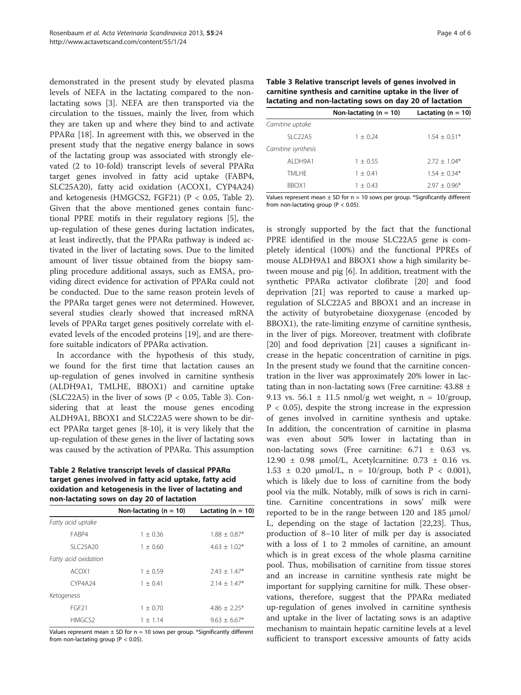demonstrated in the present study by elevated plasma levels of NEFA in the lactating compared to the nonlactating sows [[3\]](#page-4-0). NEFA are then transported via the circulation to the tissues, mainly the liver, from which they are taken up and where they bind to and activate PPAR $α$  [\[18](#page-4-0)]. In agreement with this, we observed in the present study that the negative energy balance in sows of the lactating group was associated with strongly elevated (2 to 10-fold) transcript levels of several PPARα target genes involved in fatty acid uptake (FABP4, SLC25A20), fatty acid oxidation (ACOX1, CYP4A24) and ketogenesis (HMGCS2, FGF21) ( $P < 0.05$ , Table 2). Given that the above mentioned genes contain functional PPRE motifs in their regulatory regions [[5\]](#page-4-0), the up-regulation of these genes during lactation indicates, at least indirectly, that the PPARα pathway is indeed activated in the liver of lactating sows. Due to the limited amount of liver tissue obtained from the biopsy sampling procedure additional assays, such as EMSA, providing direct evidence for activation of PPARα could not be conducted. Due to the same reason protein levels of the PPARα target genes were not determined. However, several studies clearly showed that increased mRNA levels of PPARα target genes positively correlate with elevated levels of the encoded proteins [\[19](#page-4-0)], and are therefore suitable indicators of PPARα activation.

In accordance with the hypothesis of this study, we found for the first time that lactation causes an up-regulation of genes involved in carnitine synthesis (ALDH9A1, TMLHE, BBOX1) and carnitine uptake (SLC22A5) in the liver of sows ( $P < 0.05$ , Table 3). Considering that at least the mouse genes encoding ALDH9A1, BBOX1 and SLC22A5 were shown to be direct PPARα target genes [\[8](#page-4-0)-[10\]](#page-4-0), it is very likely that the up-regulation of these genes in the liver of lactating sows was caused by the activation of PPARα. This assumption

Table 2 Relative transcript levels of classical PPARα target genes involved in fatty acid uptake, fatty acid oxidation and ketogenesis in the liver of lactating and non-lactating sows on day 20 of lactation

|                      | Non-lactating $(n = 10)$ | Lactating ( $n = 10$ ) |  |  |  |  |
|----------------------|--------------------------|------------------------|--|--|--|--|
| Fatty acid uptake    |                          |                        |  |  |  |  |
| FABP4                | $1 + 0.36$               | $1.88 \pm 0.87*$       |  |  |  |  |
| SLC25A20             | $1 \pm 0.60$             | $4.63 \pm 1.02*$       |  |  |  |  |
| Fatty acid oxidation |                          |                        |  |  |  |  |
| ACOX1                | $1 \pm 0.59$             | $7.43 + 1.47*$         |  |  |  |  |
| <b>CYP4A24</b>       | $1 + 0.41$               | $2.14 + 1.47*$         |  |  |  |  |
| Ketogenesis          |                          |                        |  |  |  |  |
| FGF <sub>21</sub>    | $1 + 0.70$               | $4.86 + 2.25*$         |  |  |  |  |
| HMGCS2               | $1 + 1.14$               | $9.63 + 6.67*$         |  |  |  |  |

Values represent mean  $\pm$  SD for n = 10 sows per group. \*Significantly different from non-lactating group ( $P < 0.05$ ).

| Table 3 Relative transcript levels of genes involved in  |
|----------------------------------------------------------|
| carnitine synthesis and carnitine uptake in the liver of |
| lactating and non-lactating sows on day 20 of lactation  |

|                     | Non-lactating ( $n = 10$ ) | Lactating ( $n = 10$ ) |
|---------------------|----------------------------|------------------------|
| Carnitine uptake    |                            |                        |
| SLC22A5             | $1 + 0.24$                 | $1.54 + 0.51*$         |
| Carnitine synthesis |                            |                        |
| AI DH9A1            | $1 + 0.55$                 | $2.72 + 1.04*$         |
| TMI HF              | $1 + 0.41$                 | $1.54 + 0.34*$         |
| BBOX1               | $1 + 0.43$                 | $7.97 + 0.96*$         |

Values represent mean  $\pm$  SD for n = 10 sows per group. \*Significantly different from non-lactating group ( $P < 0.05$ ).

is strongly supported by the fact that the functional PPRE identified in the mouse SLC22A5 gene is completely identical (100%) and the functional PPREs of mouse ALDH9A1 and BBOX1 show a high similarity between mouse and pig [\[6](#page-4-0)]. In addition, treatment with the synthetic PPARα activator clofibrate [\[20\]](#page-4-0) and food deprivation [\[21](#page-4-0)] was reported to cause a marked upregulation of SLC22A5 and BBOX1 and an increase in the activity of butyrobetaine dioxygenase (encoded by BBOX1), the rate-limiting enzyme of carnitine synthesis, in the liver of pigs. Moreover, treatment with clofibrate [[20\]](#page-4-0) and food deprivation [[21](#page-4-0)] causes a significant increase in the hepatic concentration of carnitine in pigs. In the present study we found that the carnitine concentration in the liver was approximately 20% lower in lactating than in non-lactating sows (Free carnitine:  $43.88 \pm$ 9.13 vs. 56.1  $\pm$  11.5 nmol/g wet weight, n = 10/group,  $P < 0.05$ ), despite the strong increase in the expression of genes involved in carnitine synthesis and uptake. In addition, the concentration of carnitine in plasma was even about 50% lower in lactating than in non-lactating sows (Free carnitine:  $6.71 \pm 0.63$  vs. 12.90  $±$  0.98 μmol/L, Acetylcarnitine: 0.73  $±$  0.16 vs. 1.53  $\pm$  0.20  $\mu$ mol/L, n = 10/group, both P < 0.001), which is likely due to loss of carnitine from the body pool via the milk. Notably, milk of sows is rich in carnitine. Carnitine concentrations in sows' milk were reported to be in the range between 120 and 185 μmol/ L, depending on the stage of lactation [[22,23\]](#page-5-0). Thus, production of 8–10 liter of milk per day is associated with a loss of 1 to 2 mmoles of carnitine, an amount which is in great excess of the whole plasma carnitine pool. Thus, mobilisation of carnitine from tissue stores and an increase in carnitine synthesis rate might be important for supplying carnitine for milk. These observations, therefore, suggest that the PPARα mediated up-regulation of genes involved in carnitine synthesis and uptake in the liver of lactating sows is an adaptive mechanism to maintain hepatic carnitine levels at a level sufficient to transport excessive amounts of fatty acids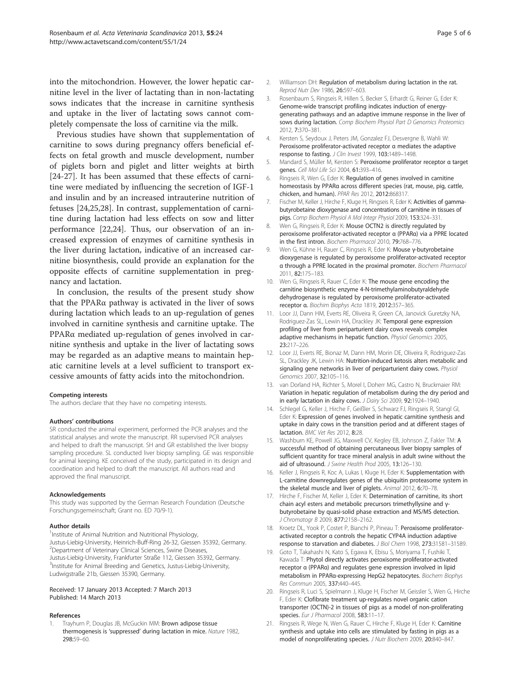<span id="page-4-0"></span>into the mitochondrion. However, the lower hepatic carnitine level in the liver of lactating than in non-lactating sows indicates that the increase in carnitine synthesis and uptake in the liver of lactating sows cannot completely compensate the loss of carnitine via the milk.

Previous studies have shown that supplementation of carnitine to sows during pregnancy offers beneficial effects on fetal growth and muscle development, number of piglets born and piglet and litter weights at birth [[24-27](#page-5-0)]. It has been assumed that these effects of carnitine were mediated by influencing the secretion of IGF-1 and insulin and by an increased intrauterine nutrition of fetuses [[24,25,28\]](#page-5-0). In contrast, supplementation of carnitine during lactation had less effects on sow and litter performance [[22,24\]](#page-5-0). Thus, our observation of an increased expression of enzymes of carnitine synthesis in the liver during lactation, indicative of an increased carnitine biosynthesis, could provide an explanation for the opposite effects of carnitine supplementation in pregnancy and lactation.

In conclusion, the results of the present study show that the PPARα pathway is activated in the liver of sows during lactation which leads to an up-regulation of genes involved in carnitine synthesis and carnitine uptake. The PPARα mediated up-regulation of genes involved in carnitine synthesis and uptake in the liver of lactating sows may be regarded as an adaptive means to maintain hepatic carnitine levels at a level sufficient to transport excessive amounts of fatty acids into the mitochondrion.

#### Competing interests

The authors declare that they have no competing interests.

#### Authors' contributions

SR conducted the animal experiment, performed the PCR analyses and the statistical analyses and wrote the manuscript. RR supervised PCR analyses and helped to draft the manuscript. SH and GR established the liver biopsy sampling procedure. SL conducted liver biopsy sampling. GE was responsible for animal keeping. KE conceived of the study, participated in its design and coordination and helped to draft the manuscript. All authors read and approved the final manuscript.

#### Acknowledgements

This study was supported by the German Research Foundation (Deutsche Forschungsgemeinschaft; Grant no. ED 70/9-1).

#### Author details

<sup>1</sup>Institute of Animal Nutrition and Nutritional Physiology, Justus-Liebig-University, Heinrich-Buff-Ring 26-32, Giessen 35392, Germany. <sup>2</sup>Department of Veterinary Clinical Sciences, Swine Diseases, Justus-Liebig-University, Frankfurter Straße 112, Giessen 35392, Germany. 3 Institute for Animal Breeding and Genetics, Justus-Liebig-University, Ludwigstraße 21b, Giessen 35390, Germany.

#### Received: 17 January 2013 Accepted: 7 March 2013 Published: 14 March 2013

#### References

Trayhurn P, Douglas JB, McGuckin MM: Brown adipose tissue thermogenesis is 'suppressed' during lactation in mice. Nature 1982, 298:59–60.

- 2. Williamson DH: Regulation of metabolism during lactation in the rat. Reprod Nutr Dev 1986, 26:597–603.
- 3. Rosenbaum S, Ringseis R, Hillen S, Becker S, Erhardt G, Reiner G, Eder K: Genome-wide transcript profiling indicates induction of energygenerating pathways and an adaptive immune response in the liver of sows during lactation. Comp Biochem Physiol Part D Genomics Proteomics 2012, 7:370–381.
- 4. Kersten S, Seydoux J, Peters JM, Gonzalez FJ, Desvergne B, Wahli W: Peroxisome proliferator-activated receptor α mediates the adaptive response to fasting. J Clin Invest 1999, 103:1489–1498.
- 5. Mandard S, Müller M, Kersten S: Peroxisome proliferator receptor α target genes. Cell Mol Life Sci 2004, 61:393–416.
- Ringseis R, Wen G, Eder K: Regulation of genes involved in carnitine homeostasis by PPARα across different species (rat, mouse, pig, cattle, chicken, and human). PPAR Res 2012, 2012:868317.
- 7. Fischer M, Keller J, Hirche F, Kluge H, Ringseis R, Eder K: Activities of gammabutyrobetaine dioxygenase and concentrations of carnitine in tissues of pigs. Comp Biochem Physiol A Mol Integr Physiol 2009, 153:324–331.
- 8. Wen G, Ringseis R, Eder K: Mouse OCTN2 is directly regulated by peroxisome proliferator-activated receptor α (PPARα) via a PPRE located in the first intron. Biochem Pharmacol 2010, 79:768–776.
- 9. Wen G, Kühne H, Rauer C, Ringseis R, Eder K: Mouse γ-butyrobetaine dioxygenase is regulated by peroxisome proliferator-activated receptor α through a PPRE located in the proximal promoter. Biochem Pharmacol 2011, 82:175–183.
- 10. Wen G, Ringseis R, Rauer C, Eder K: The mouse gene encoding the carnitine biosynthetic enzyme 4-N-trimethylaminobutyraldehyde dehydrogenase is regulated by peroxisome proliferator-activated receptor α. Biochim Biophys Acta 1819, 2012:357–365.
- 11. Loor JJ, Dann HM, Everts RE, Oliveira R, Green CA, Janovick Guretzky NA, Rodriguez-Zas SL, Lewin HA, Drackley JK: Temporal gene expression profiling of liver from periparturient dairy cows reveals complex adaptive mechanisms in hepatic function. Physiol Genomics 2005, 23:217–226.
- 12. Loor JJ, Everts RE, Bionaz M, Dann HM, Morin DE, Oliveira R, Rodriguez-Zas SL, Drackley JK, Lewin HA: Nutrition-induced ketosis alters metabolic and signaling gene networks in liver of periparturient dairy cows. Physiol Genomics 2007, 32:105–116.
- 13. van Dorland HA, Richter S, Morel I, Doherr MG, Castro N, Bruckmaier RM: Variation in hepatic regulation of metabolism during the dry period and in early lactation in dairy cows. J Dairy Sci 2009, 92:1924-1940.
- 14. Schlegel G, Keller J, Hirche F, Geißler S, Schwarz FJ, Ringseis R, Stangl GI, Eder K: Expression of genes involved in hepatic carnitine synthesis and uptake in dairy cows in the transition period and at different stages of lactation. BMC Vet Res 2012, 8:28.
- 15. Washburn KE, Powell JG, Maxwell CV, Kegley EB, Johnson Z, Fakler TM: A successful method of obtaining percutaneous liver biopsy samples of sufficient quantity for trace mineral analysis in adult swine without the aid of ultrasound. J Swine Health Prod 2005, 13:126–130.
- 16. Keller J, Ringseis R, Koc A, Lukas I, Kluge H, Eder K: Supplementation with L-carnitine downregulates genes of the ubiquitin proteasome system in the skeletal muscle and liver of piglets. Animal 2012, 6:70-78.
- 17. Hirche F, Fischer M, Keller J, Eder K: Determination of carnitine, its short chain acyl esters and metabolic precursors trimethyllysine and γbutyrobetaine by quasi-solid phase extraction and MS/MS detection. J Chromatogr B 2009, 877:2158–2162.
- 18. Kroetz DL, Yook P, Costet P, Bianchi P, Pineau T: Peroxisome proliferatoractivated receptor α controls the hepatic CYP4A induction adaptive response to starvation and diabetes. J Biol Chem 1998, 273:31581–31589.
- 19. Goto T, Takahashi N, Kato S, Egawa K, Ebisu S, Moriyama T, Fushiki T, Kawada T: Phytol directly activates peroxisome proliferator-activated receptor α (PPARα) and regulates gene expression involved in lipid metabolism in PPARα-expressing HepG2 hepatocytes. Biochem Biophys Res Commun 2005, 337:440-445.
- 20. Ringseis R, Luci S, Spielmann J, Kluge H, Fischer M, Geissler S, Wen G, Hirche F, Eder K: Clofibrate treatment up-regulates novel organic cation transporter (OCTN)-2 in tissues of pigs as a model of non-proliferating species. Eur J Pharmacol 2008, 583:11-17.
- 21. Ringseis R, Wege N, Wen G, Rauer C, Hirche F, Kluge H, Eder K: Carnitine synthesis and uptake into cells are stimulated by fasting in pigs as a model of nonproliferating species. J Nutr Biochem 2009, 20:840–847.